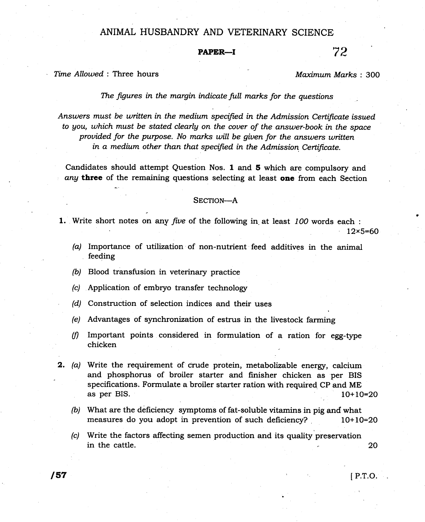## ANIMAL HUSBANDRY AND VETERINARY SCIENCE

## PAPER-I 72

Time Allowed : Three hours and the matter of the Maximum Marks : 300

The figures in the margin indicate full marks for the questions

Answers must be written in the medium specified in the Admission Certificate issued to you, which must be stated clearly on the cover of the answer-book in the space provided for the purpose. No marks will be given for the answers written in a medium other than that specified in the Admission Certificate.

Candidates should attempt Question Nos. I and 5 which are compulsory and any three of the remaining questions selecting at least one from each Section

## SECTION-A

1. Write short notes on any five of the following in at least 100 words each :

 $12\times 5=60$ 

- (a) Importance of utilization of non-nutrient feed additives in the animal feeding
- $(b)$  Blood transfusion in veterinary practice
- (c) Application of embryo transfer technology
- (d) Construction of selection indices and their uses
- (e) Advantages of synchronization of estrus in the livestock farming
- $(f)$  Important points considered in formulation of a ration for egg-type chicken

**2.** (a) Write the requirement of crude protein, metabolizable energy, calcium and phosphorus of broiler starter and finisher chicken as per BIS specifications, Formulate a broiler starter ration with required CP and ME as per BIS.  $10+10=20$ 

- $(b)$  What are the deficiency symptoms of fat-soluble vitamins in pig and what measures do you adopt in prevention of such deficiency? . 10+10=20
- (c) Write the factors affecting semen production and its quality'preservation 20 in the cattle.

 $\sqrt{57}$  IP.T.O.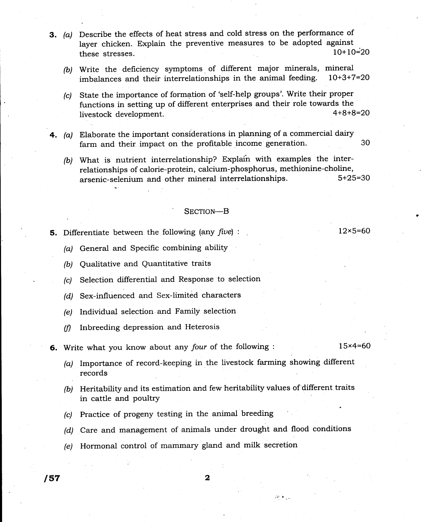- 3. (a) Describe the effects of heat stress and cold stress on the performance of layer chicken. Explain the preventive measures to be adopted against<br>these stresses  $10+10=20$ these stresses.
	- (b) Write the deficiency symptoms of different major minerals, mineral imbelances and their interrelationships in the animal feeding.  $10+3+7=20$ imbalances and their interrelationships in the animal feeding.
	- (c) State the importance of formation of 'self.help groups'. Write their proper functions in setting up of different enterprises and their role towards the<br>livestock development<br>4+8+8=20 livestock development.
- 4. (a) Elaborate the important considerations in planning of a commercial dairy farm and their impact on the profitable income generation.  $30$ 
	- (b) What is nutrient interrelationship? Explain with examples the interrelationships of calorie-protein, calcium-phosphorus, methionine-choline,<br>argenic-selenium and other mineral interrelationships. 5+25=30 arsenic-selenium and other mineral interrelationships.

## SECTION-B

**5.** Differentiate between the following (any *five*) :  $12 \times 5=60$ 

- (a) General and Specific combining ability
- (b) Qualitative and Quantitative traits
- (c) Selection differential and Response to selection
- (d) Sex-influenced and Sex-limited characters
- (e) Individual selection and Family selection
- $(f)$  Inbreeding depression and Heterosis
- **6.** Write what you know about any four of the following :  $15 \times 4 = 60$

- (a) Importance of record-keeping in the livestock farming showing different records
- (b) Heritability and its estimation and few heritability values of different traits in cattle and poultry
- (c) Practice of progeny testing in the animal breeding
- (d) Care and management of animals under drought and flood conditions

 $\mathcal{W}^{n+1}$  ,  $\mathcal{V}$ 

 $(e)$  Hormonal control of mammary gland and milk secretion